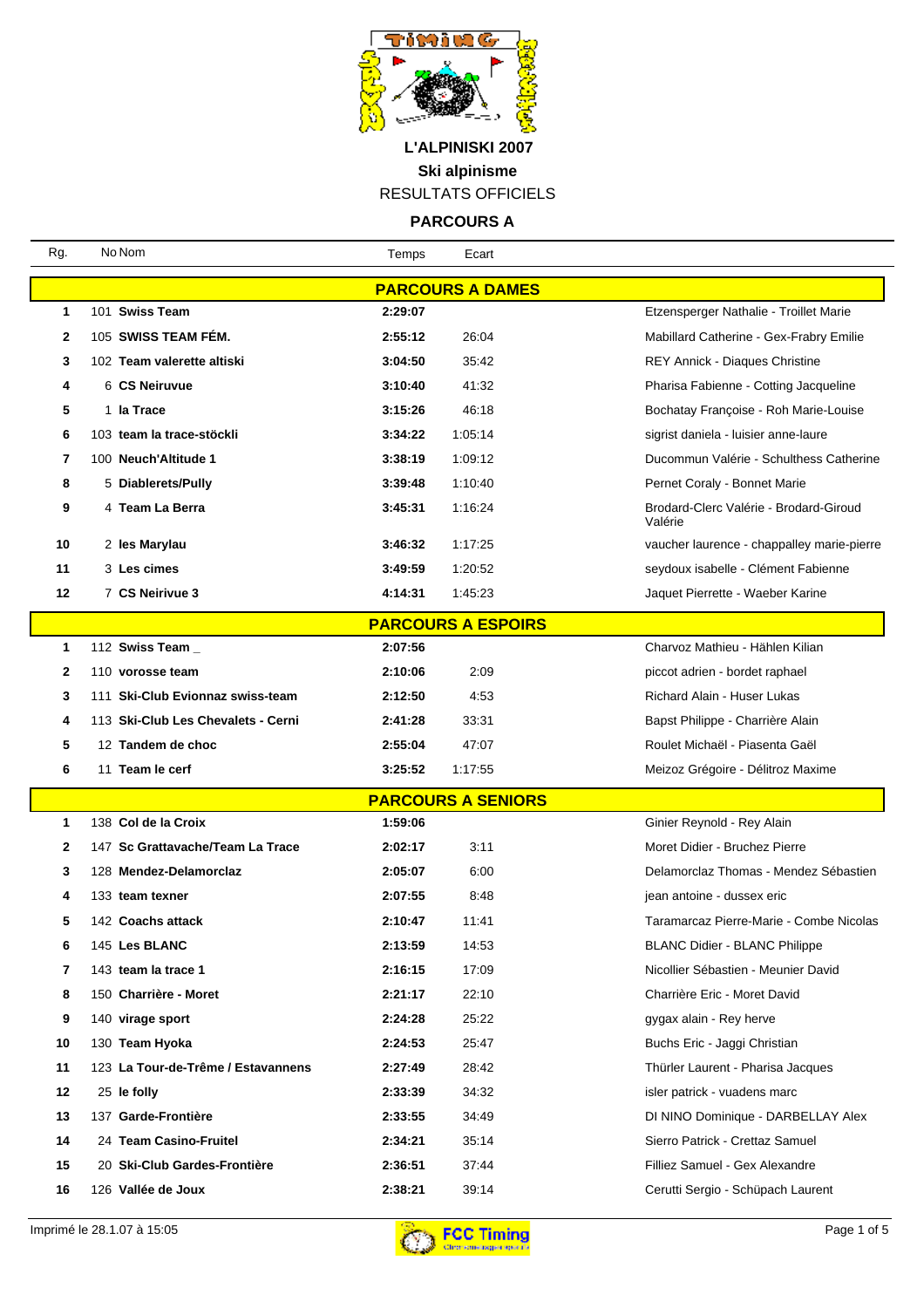

**PARCOURS A**

| Rg.          | No Nom                             | Temps   | Ecart                     |                                                   |
|--------------|------------------------------------|---------|---------------------------|---------------------------------------------------|
|              |                                    |         | <b>PARCOURS A DAMES</b>   |                                                   |
| 1            | 101 Swiss Team                     | 2:29:07 |                           | Etzensperger Nathalie - Troillet Marie            |
| $\mathbf{2}$ | 105 SWISS TEAM FÉM.                | 2:55:12 | 26:04                     | Mabillard Catherine - Gex-Frabry Emilie           |
| 3            | 102 Team valerette altiski         | 3:04:50 | 35:42                     | REY Annick - Diaques Christine                    |
| 4            | 6 CS Neiruvue                      | 3:10:40 | 41:32                     | Pharisa Fabienne - Cotting Jacqueline             |
| 5            | 1 la Trace                         | 3:15:26 | 46:18                     | Bochatay Françoise - Roh Marie-Louise             |
| 6            | 103 team la trace-stöckli          | 3:34:22 | 1:05:14                   | sigrist daniela - luisier anne-laure              |
| 7            | 100 Neuch'Altitude 1               | 3:38:19 | 1:09:12                   | Ducommun Valérie - Schulthess Catherine           |
| 8            | 5 Diablerets/Pully                 | 3:39:48 | 1:10:40                   | Pernet Coraly - Bonnet Marie                      |
| 9            | 4 Team La Berra                    | 3:45:31 | 1:16:24                   | Brodard-Clerc Valérie - Brodard-Giroud<br>Valérie |
| 10           | 2 les Marylau                      | 3:46:32 | 1:17:25                   | vaucher laurence - chappalley marie-pierre        |
| 11           | 3 Les cimes                        | 3:49:59 | 1:20:52                   | seydoux isabelle - Clément Fabienne               |
| $12 \,$      | 7 CS Neirivue 3                    | 4:14:31 | 1:45:23                   | Jaquet Pierrette - Waeber Karine                  |
|              |                                    |         | <b>PARCOURS A ESPOIRS</b> |                                                   |
| 1            | 112 Swiss Team _                   | 2:07:56 |                           | Charvoz Mathieu - Hählen Kilian                   |
| $\mathbf{2}$ | 110 vorosse team                   | 2:10:06 | 2:09                      | piccot adrien - bordet raphael                    |
| 3            | 111 Ski-Club Evionnaz swiss-team   | 2:12:50 | 4:53                      | Richard Alain - Huser Lukas                       |
| 4            | 113 Ski-Club Les Chevalets - Cerni | 2:41:28 | 33:31                     | Bapst Philippe - Charrière Alain                  |
| 5            | 12 Tandem de choc                  | 2:55:04 | 47:07                     | Roulet Michaël - Piasenta Gaël                    |
| 6            | 11 Team le cerf                    | 3:25:52 | 1:17:55                   | Meizoz Grégoire - Délitroz Maxime                 |
|              |                                    |         | <b>PARCOURS A SENIORS</b> |                                                   |
| 1            | 138 Col de la Croix                | 1:59:06 |                           | Ginier Reynold - Rey Alain                        |
| $\mathbf{2}$ | 147 Sc Grattavache/Team La Trace   | 2:02:17 | 3:11                      | Moret Didier - Bruchez Pierre                     |
| 3            | 128 Mendez-Delamorclaz             | 2:05:07 | 6:00                      | Delamorclaz Thomas - Mendez Sébastien             |
| 4            | 133 team texner                    | 2:07:55 | 8:48                      | jean antoine - dussex eric                        |
| 5            | 142 Coachs attack                  | 2:10:47 | 11:41                     | Taramarcaz Pierre-Marie - Combe Nicolas           |
| 6            | 145 Les BLANC                      | 2:13:59 | 14:53                     | <b>BLANC Didier - BLANC Philippe</b>              |
| 7            | 143 team la trace 1                | 2:16:15 | 17:09                     | Nicollier Sébastien - Meunier David               |
| 8            | 150 Charrière - Moret              | 2:21:17 | 22:10                     | Charrière Eric - Moret David                      |
| 9            | 140 virage sport                   | 2:24:28 | 25:22                     | gygax alain - Rey herve                           |
| 10           | 130 Team Hyoka                     | 2:24:53 | 25:47                     | Buchs Eric - Jaggi Christian                      |
| 11           | 123 La Tour-de-Trême / Estavannens | 2:27:49 | 28:42                     | Thürler Laurent - Pharisa Jacques                 |
| 12           | 25 le folly                        | 2:33:39 | 34:32                     | isler patrick - vuadens marc                      |
| 13           | 137 Garde-Frontière                | 2:33:55 | 34:49                     | DI NINO Dominique - DARBELLAY Alex                |
| 14           | 24 Team Casino-Fruitel             | 2:34:21 | 35:14                     | Sierro Patrick - Crettaz Samuel                   |
| 15           | 20 Ski-Club Gardes-Frontière       | 2:36:51 | 37:44                     | Filliez Samuel - Gex Alexandre                    |
| 16           | 126 Vallée de Joux                 | 2:38:21 | 39:14                     | Cerutti Sergio - Schüpach Laurent                 |

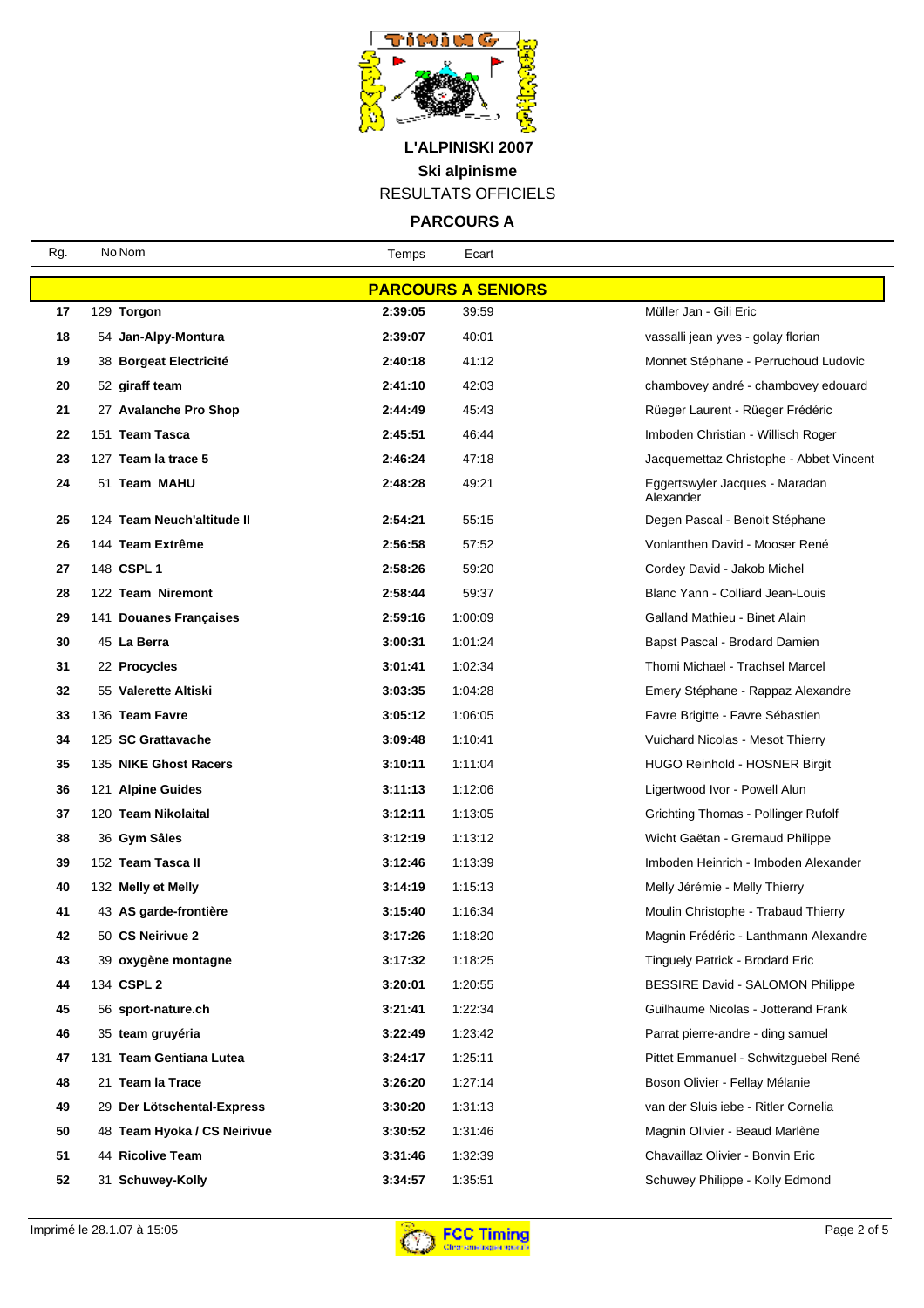

**PARCOURS A**

| Rg. | No Nom                      | Temps   | Ecart                     |                                             |
|-----|-----------------------------|---------|---------------------------|---------------------------------------------|
|     |                             |         | <b>PARCOURS A SENIORS</b> |                                             |
| 17  | 129 Torgon                  | 2:39:05 | 39:59                     | Müller Jan - Gili Eric                      |
| 18  | 54 Jan-Alpy-Montura         | 2:39:07 | 40:01                     | vassalli jean yves - golay florian          |
| 19  | 38 Borgeat Electricité      | 2:40:18 | 41:12                     | Monnet Stéphane - Perruchoud Ludovic        |
| 20  | 52 giraff team              | 2:41:10 | 42:03                     | chambovey andré - chambovey edouard         |
| 21  | 27 Avalanche Pro Shop       | 2:44:49 | 45:43                     | Rüeger Laurent - Rüeger Frédéric            |
| 22  | 151 Team Tasca              | 2:45:51 | 46:44                     | Imboden Christian - Willisch Roger          |
| 23  | 127 Team la trace 5         | 2:46:24 | 47:18                     | Jacquemettaz Christophe - Abbet Vincent     |
| 24  | 51 Team MAHU                | 2:48:28 | 49:21                     | Eggertswyler Jacques - Maradan<br>Alexander |
| 25  | 124 Team Neuch'altitude II  | 2:54:21 | 55:15                     | Degen Pascal - Benoit Stéphane              |
| 26  | 144 Team Extrême            | 2:56:58 | 57:52                     | Vonlanthen David - Mooser René              |
| 27  | 148 CSPL 1                  | 2:58:26 | 59:20                     | Cordey David - Jakob Michel                 |
| 28  | 122 Team Niremont           | 2:58:44 | 59:37                     | Blanc Yann - Colliard Jean-Louis            |
| 29  | 141 Douanes Françaises      | 2:59:16 | 1:00:09                   | Galland Mathieu - Binet Alain               |
| 30  | 45 La Berra                 | 3:00:31 | 1:01:24                   | Bapst Pascal - Brodard Damien               |
| 31  | 22 Procycles                | 3:01:41 | 1:02:34                   | Thomi Michael - Trachsel Marcel             |
| 32  | 55 Valerette Altiski        | 3:03:35 | 1:04:28                   | Emery Stéphane - Rappaz Alexandre           |
| 33  | 136 Team Favre              | 3:05:12 | 1:06:05                   | Favre Brigitte - Favre Sébastien            |
| 34  | 125 SC Grattavache          | 3:09:48 | 1:10:41                   | Vuichard Nicolas - Mesot Thierry            |
| 35  | 135 NIKE Ghost Racers       | 3:10:11 | 1:11:04                   | HUGO Reinhold - HOSNER Birgit               |
| 36  | 121 Alpine Guides           | 3:11:13 | 1:12:06                   | Ligertwood Ivor - Powell Alun               |
| 37  | 120 Team Nikolaital         | 3:12:11 | 1:13:05                   | Grichting Thomas - Pollinger Rufolf         |
| 38  | 36 Gym Sâles                | 3:12:19 | 1:13:12                   | Wicht Gaëtan - Gremaud Philippe             |
| 39  | 152 Team Tasca II           | 3:12:46 | 1:13:39                   | Imboden Heinrich - Imboden Alexander        |
| 40  | 132 Melly et Melly          | 3:14:19 | 1:15:13                   | Melly Jérémie - Melly Thierry               |
| 41  | 43 AS garde-frontière       | 3:15:40 | 1:16:34                   | Moulin Christophe - Trabaud Thierry         |
| 42  | 50 CS Neirivue 2            | 3:17:26 | 1:18:20                   | Magnin Frédéric - Lanthmann Alexandre       |
| 43  | 39 oxygène montagne         | 3:17:32 | 1:18:25                   | <b>Tinguely Patrick - Brodard Eric</b>      |
| 44  | 134 CSPL 2                  | 3:20:01 | 1:20:55                   | BESSIRE David - SALOMON Philippe            |
| 45  | 56 sport-nature.ch          | 3:21:41 | 1:22:34                   | Guilhaume Nicolas - Jotterand Frank         |
| 46  | 35 team gruyéria            | 3:22:49 | 1:23:42                   | Parrat pierre-andre - ding samuel           |
| 47  | 131 Team Gentiana Lutea     | 3:24:17 | 1:25:11                   | Pittet Emmanuel - Schwitzquebel René        |
| 48  | 21 Team la Trace            | 3:26:20 | 1:27:14                   | Boson Olivier - Fellay Mélanie              |
| 49  | 29 Der Lötschental-Express  | 3:30:20 | 1:31:13                   | van der Sluis iebe - Ritler Cornelia        |
| 50  | 48 Team Hyoka / CS Neirivue | 3:30:52 | 1:31:46                   | Magnin Olivier - Beaud Marlène              |
| 51  | 44 Ricolive Team            | 3:31:46 | 1:32:39                   | Chavaillaz Olivier - Bonvin Eric            |
| 52  | 31 Schuwey-Kolly            | 3:34:57 | 1:35:51                   | Schuwey Philippe - Kolly Edmond             |

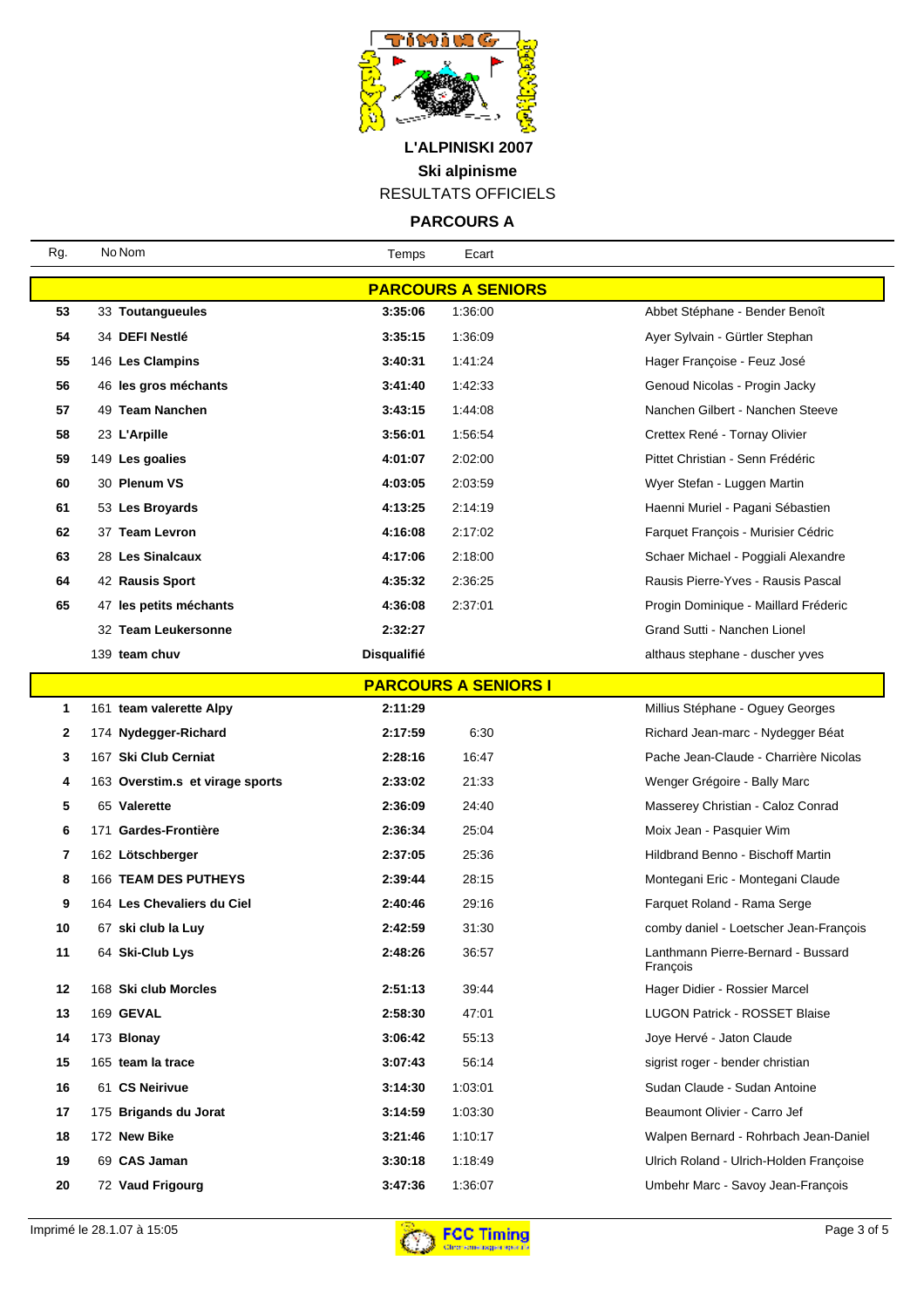

**PARCOURS A**

| Rg.                       | No Nom                          | Temps              | Ecart                       |                                                |  |  |
|---------------------------|---------------------------------|--------------------|-----------------------------|------------------------------------------------|--|--|
| <b>PARCOURS A SENIORS</b> |                                 |                    |                             |                                                |  |  |
| 53                        | 33 Toutangueules                | 3:35:06            | 1:36:00                     | Abbet Stéphane - Bender Benoît                 |  |  |
| 54                        | 34 DEFI Nestlé                  | 3:35:15            | 1:36:09                     | Ayer Sylvain - Gürtler Stephan                 |  |  |
| 55                        | 146 Les Clampins                | 3:40:31            | 1.41.24                     | Hager Françoise - Feuz José                    |  |  |
| 56                        | 46 les gros méchants            | 3:41:40            | 1:42:33                     | Genoud Nicolas - Progin Jacky                  |  |  |
| 57                        | 49 Team Nanchen                 | 3:43:15            | 1:44:08                     | Nanchen Gilbert - Nanchen Steeve               |  |  |
| 58                        | 23 L'Arpille                    | 3:56:01            | 1.56:54                     | Crettex René - Tornay Olivier                  |  |  |
| 59                        | 149 Les goalies                 | 4:01:07            | 2:02:00                     | Pittet Christian - Senn Frédéric               |  |  |
| 60                        | 30 Plenum VS                    | 4:03:05            | 2:03:59                     | Wyer Stefan - Luggen Martin                    |  |  |
| 61                        | 53 Les Broyards                 | 4:13:25            | 2:14:19                     | Haenni Muriel - Pagani Sébastien               |  |  |
| 62                        | 37 Team Levron                  | 4:16:08            | 2:17:02                     | Farquet François - Murisier Cédric             |  |  |
| 63                        | 28 Les Sinalcaux                | 4:17:06            | 2:18:00                     | Schaer Michael - Poggiali Alexandre            |  |  |
| 64                        | 42 Rausis Sport                 | 4:35:32            | 2:36:25                     | Rausis Pierre-Yves - Rausis Pascal             |  |  |
| 65                        | 47 les petits méchants          | 4:36:08            | 2:37:01                     | Progin Dominique - Maillard Fréderic           |  |  |
|                           | 32 Team Leukersonne             | 2:32:27            |                             | Grand Sutti - Nanchen Lionel                   |  |  |
|                           | 139 team chuv                   | <b>Disqualifié</b> |                             | althaus stephane - duscher yves                |  |  |
|                           |                                 |                    | <b>PARCOURS A SENIORS I</b> |                                                |  |  |
| 1                         | 161 team valerette Alpy         | 2:11:29            |                             | Millius Stéphane - Oguey Georges               |  |  |
| 2                         | 174 Nydegger-Richard            | 2:17:59            | 6:30                        | Richard Jean-marc - Nydegger Béat              |  |  |
| 3                         | 167 Ski Club Cerniat            | 2:28:16            | 16:47                       | Pache Jean-Claude - Charrière Nicolas          |  |  |
| 4                         | 163 Overstim.s et virage sports | 2:33:02            | 21:33                       | Wenger Grégoire - Bally Marc                   |  |  |
| 5                         | 65 Valerette                    | 2:36:09            | 24:40                       | Masserey Christian - Caloz Conrad              |  |  |
| 6                         | 171 Gardes-Frontière            | 2:36:34            | 25:04                       | Moix Jean - Pasquier Wim                       |  |  |
| 7                         | 162 Lötschberger                | 2:37:05            | 25:36                       | Hildbrand Benno - Bischoff Martin              |  |  |
| 8                         | 166 TEAM DES PUTHEYS            | 2:39:44            | 28:15                       | Montegani Eric - Montegani Claude              |  |  |
| 9                         | 164 Les Chevaliers du Ciel      | 2:40:46            | 29:16                       | Farquet Roland - Rama Serge                    |  |  |
| 10                        | 67 ski club la Luy              | 2:42:59            | 31:30                       | comby daniel - Loetscher Jean-François         |  |  |
| 11                        | 64 Ski-Club Lys                 | 2:48:26            | 36:57                       | Lanthmann Pierre-Bernard - Bussard<br>François |  |  |
| 12                        | 168 Ski club Morcles            | 2:51:13            | 39:44                       | Hager Didier - Rossier Marcel                  |  |  |
| 13                        | 169 GEVAL                       | 2:58:30            | 47:01                       | <b>LUGON Patrick - ROSSET Blaise</b>           |  |  |
| 14                        | 173 Blonay                      | 3:06:42            | 55:13                       | Joye Hervé - Jaton Claude                      |  |  |
| 15                        | 165 team la trace               | 3:07:43            | 56:14                       | sigrist roger - bender christian               |  |  |
| 16                        | 61 CS Neirivue                  | 3:14:30            | 1:03:01                     | Sudan Claude - Sudan Antoine                   |  |  |
| 17                        | 175 Brigands du Jorat           | 3:14:59            | 1:03:30                     | Beaumont Olivier - Carro Jef                   |  |  |
| 18                        | 172 New Bike                    | 3:21:46            | 1:10:17                     | Walpen Bernard - Rohrbach Jean-Daniel          |  |  |
| 19                        | 69 CAS Jaman                    | 3:30:18            | 1:18:49                     | Ulrich Roland - Ulrich-Holden Françoise        |  |  |
| 20                        | 72 Vaud Frigourg                | 3:47:36            | 1:36:07                     | Umbehr Marc - Savoy Jean-François              |  |  |

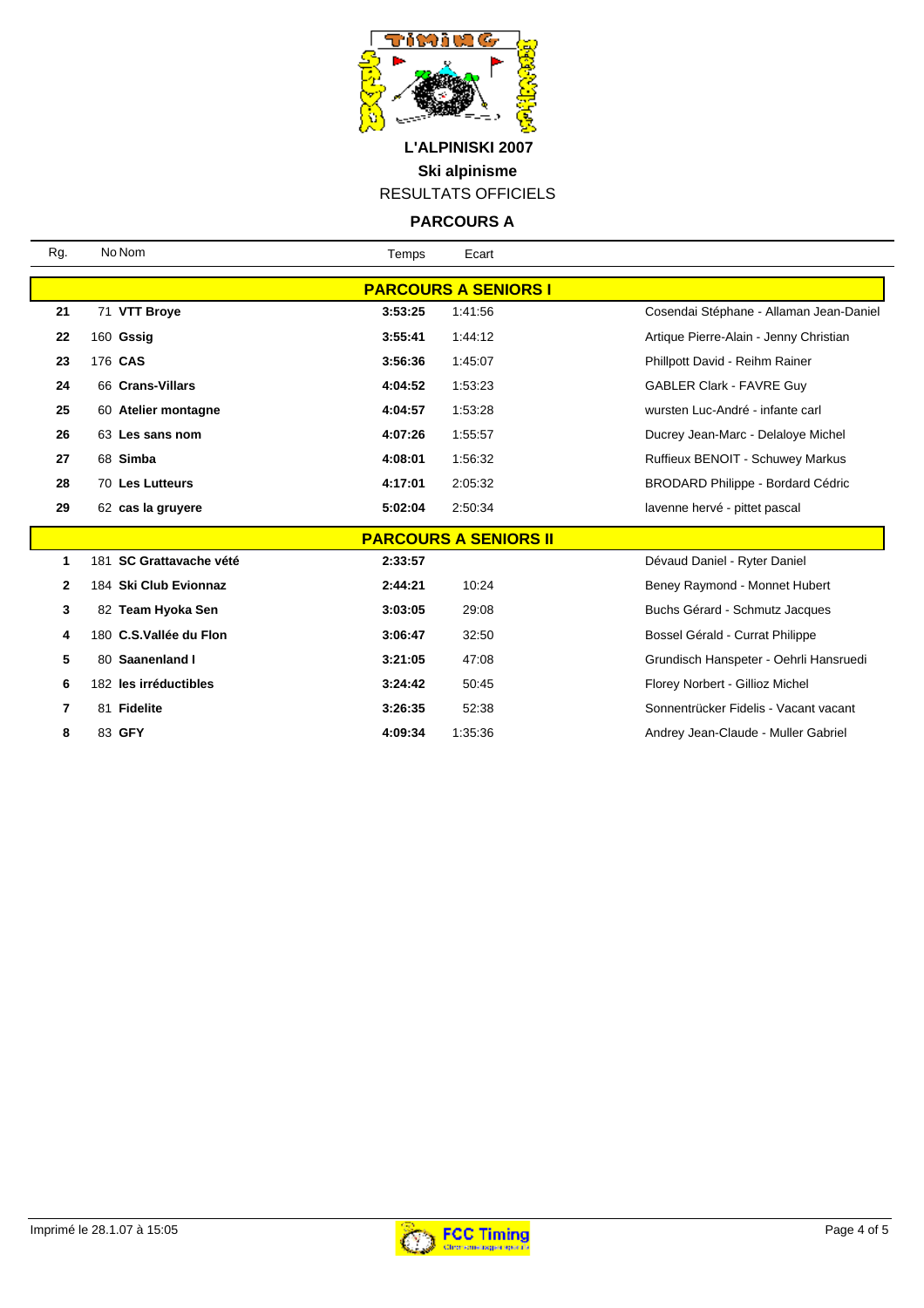

**PARCOURS A**

| Rg.                          | No Nom                  | Temps   | Ecart   |                                          |  |  |
|------------------------------|-------------------------|---------|---------|------------------------------------------|--|--|
| <b>PARCOURS A SENIORS I</b>  |                         |         |         |                                          |  |  |
| 21                           | 71 VTT Broye            | 3:53:25 | 1:41:56 | Cosendai Stéphane - Allaman Jean-Daniel  |  |  |
| 22                           | 160 Gssig               | 3:55:41 | 1:44:12 | Artique Pierre-Alain - Jenny Christian   |  |  |
| 23                           | 176 CAS                 | 3:56:36 | 1:45:07 | Phillpott David - Reihm Rainer           |  |  |
| 24                           | 66 Crans-Villars        | 4:04:52 | 1:53:23 | <b>GABLER Clark - FAVRE Guy</b>          |  |  |
| 25                           | 60 Atelier montagne     | 4:04:57 | 1:53:28 | wursten Luc-André - infante carl         |  |  |
| 26                           | 63 Les sans nom         | 4:07:26 | 1:55:57 | Ducrey Jean-Marc - Delaloye Michel       |  |  |
| 27                           | 68 Simba                | 4:08:01 | 1:56:32 | Ruffieux BENOIT - Schuwey Markus         |  |  |
| 28                           | 70 Les Lutteurs         | 4:17:01 | 2:05:32 | <b>BRODARD Philippe - Bordard Cédric</b> |  |  |
| 29                           | 62 cas la gruyere       | 5:02:04 | 2:50:34 | lavenne hervé - pittet pascal            |  |  |
| <b>PARCOURS A SENIORS II</b> |                         |         |         |                                          |  |  |
| 1                            | 181 SC Grattavache vété | 2:33:57 |         | Dévaud Daniel - Ryter Daniel             |  |  |
| $\mathbf{2}$                 | 184 Ski Club Evionnaz   | 2:44:21 | 10:24   | Beney Raymond - Monnet Hubert            |  |  |
| 3                            | 82 Team Hyoka Sen       | 3:03:05 | 29:08   | Buchs Gérard - Schmutz Jacques           |  |  |
| 4                            | 180 C.S.Vallée du Flon  | 3:06:47 | 32:50   | Bossel Gérald - Currat Philippe          |  |  |
| 5                            | 80 Saanenland I         | 3:21:05 | 47:08   | Grundisch Hanspeter - Oehrli Hansruedi   |  |  |
| 6                            | 182 les irréductibles   | 3:24:42 | 50:45   | Florey Norbert - Gillioz Michel          |  |  |

 81 **Fidelite 3:26:35** 52:38 Sonnentrücker Fidelis - Vacant vacant 83 **GFY 4:09:34** 1:35:36 Andrey Jean-Claude - Muller Gabriel